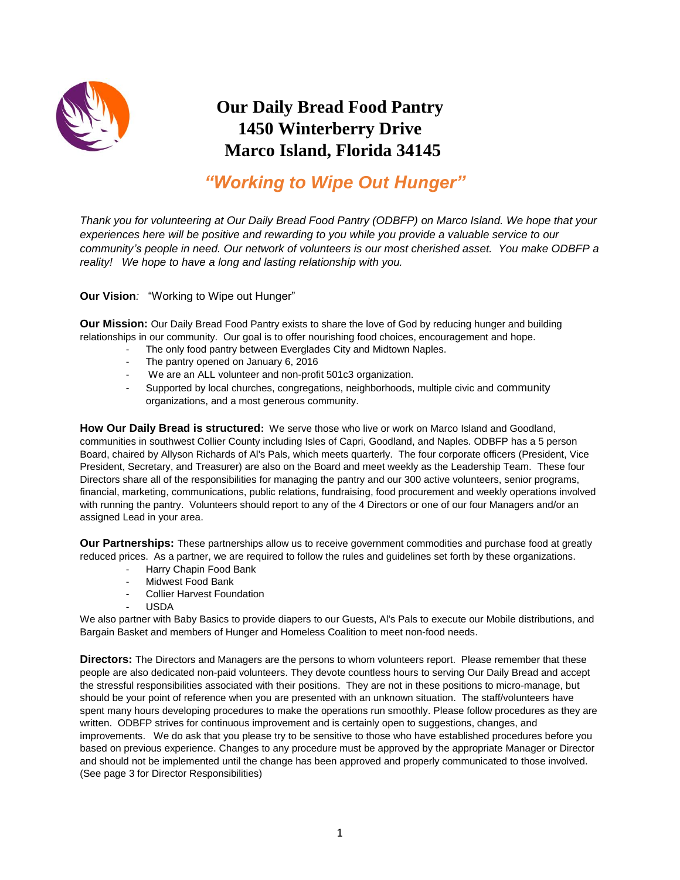

# **Our Daily Bread Food Pantry 1450 Winterberry Drive Marco Island, Florida 34145**

# *"Working to Wipe Out Hunger"*

Thank you for volunteering at Our Daily Bread Food Pantry (ODBFP) on Marco Island. We hope that your *experiences here will be positive and rewarding to you while you provide a valuable service to our community's people in need. Our network of volunteers is our most cherished asset. You make ODBFP a reality! We hope to have a long and lasting relationship with you.*

**Our Vision***:* "Working to Wipe out Hunger"

**Our Mission:** Our Daily Bread Food Pantry exists to share the love of God by reducing hunger and building relationships in our community. Our goal is to offer nourishing food choices, encouragement and hope.

- The only food pantry between Everglades City and Midtown Naples.
- The pantry opened on January 6, 2016
- We are an ALL volunteer and non-profit 501c3 organization.
- Supported by local churches, congregations, neighborhoods, multiple civic and community organizations, and a most generous community.

**How Our Daily Bread is structured:** We serve those who live or work on Marco Island and Goodland, communities in southwest Collier County including Isles of Capri, Goodland, and Naples. ODBFP has a 5 person Board, chaired by Allyson Richards of Al's Pals, which meets quarterly. The four corporate officers (President, Vice President, Secretary, and Treasurer) are also on the Board and meet weekly as the Leadership Team. These four Directors share all of the responsibilities for managing the pantry and our 300 active volunteers, senior programs, financial, marketing, communications, public relations, fundraising, food procurement and weekly operations involved with running the pantry. Volunteers should report to any of the 4 Directors or one of our four Managers and/or an assigned Lead in your area.

**Our Partnerships:** These partnerships allow us to receive government commodities and purchase food at greatly reduced prices. As a partner, we are required to follow the rules and guidelines set forth by these organizations.

- Harry Chapin Food Bank
- Midwest Food Bank
- Collier Harvest Foundation
- USDA

We also partner with Baby Basics to provide diapers to our Guests, Al's Pals to execute our Mobile distributions, and Bargain Basket and members of Hunger and Homeless Coalition to meet non-food needs.

**Directors:** The Directors and Managers are the persons to whom volunteers report. Please remember that these people are also dedicated non-paid volunteers. They devote countless hours to serving Our Daily Bread and accept the stressful responsibilities associated with their positions. They are not in these positions to micro-manage, but should be your point of reference when you are presented with an unknown situation. The staff/volunteers have spent many hours developing procedures to make the operations run smoothly. Please follow procedures as they are written. ODBFP strives for continuous improvement and is certainly open to suggestions, changes, and improvements. We do ask that you please try to be sensitive to those who have established procedures before you based on previous experience. Changes to any procedure must be approved by the appropriate Manager or Director and should not be implemented until the change has been approved and properly communicated to those involved. (See page 3 for Director Responsibilities)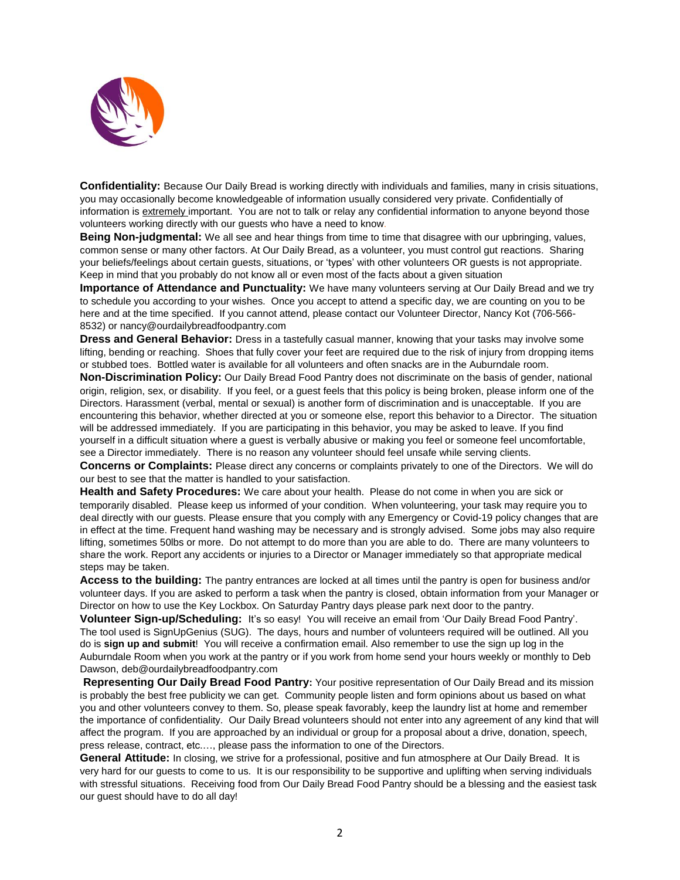

**Confidentiality:** Because Our Daily Bread is working directly with individuals and families, many in crisis situations, you may occasionally become knowledgeable of information usually considered very private. Confidentially of information is extremely important. You are not to talk or relay any confidential information to anyone beyond those volunteers working directly with our guests who have a need to know.

**Being Non-judgmental:** We all see and hear things from time to time that disagree with our upbringing, values, common sense or many other factors. At Our Daily Bread, as a volunteer, you must control gut reactions. Sharing your beliefs/feelings about certain guests, situations, or 'types' with other volunteers OR guests is not appropriate. Keep in mind that you probably do not know all or even most of the facts about a given situation

**Importance of Attendance and Punctuality:** We have many volunteers serving at Our Daily Bread and we try to schedule you according to your wishes. Once you accept to attend a specific day, we are counting on you to be here and at the time specified. If you cannot attend, please contact our Volunteer Director, Nancy Kot (706-566- 8532) or nancy@ourdailybreadfoodpantry.com

**Dress and General Behavior:** Dress in a tastefully casual manner, knowing that your tasks may involve some lifting, bending or reaching. Shoes that fully cover your feet are required due to the risk of injury from dropping items or stubbed toes. Bottled water is available for all volunteers and often snacks are in the Auburndale room.

**Non-Discrimination Policy:** Our Daily Bread Food Pantry does not discriminate on the basis of gender, national origin, religion, sex, or disability. If you feel, or a guest feels that this policy is being broken, please inform one of the Directors. Harassment (verbal, mental or sexual) is another form of discrimination and is unacceptable. If you are encountering this behavior, whether directed at you or someone else, report this behavior to a Director. The situation will be addressed immediately. If you are participating in this behavior, you may be asked to leave. If you find yourself in a difficult situation where a guest is verbally abusive or making you feel or someone feel uncomfortable, see a Director immediately. There is no reason any volunteer should feel unsafe while serving clients.

**Concerns or Complaints:** Please direct any concerns or complaints privately to one of the Directors. We will do our best to see that the matter is handled to your satisfaction.

**Health and Safety Procedures:** We care about your health. Please do not come in when you are sick or temporarily disabled. Please keep us informed of your condition. When volunteering, your task may require you to deal directly with our guests. Please ensure that you comply with any Emergency or Covid-19 policy changes that are in effect at the time. Frequent hand washing may be necessary and is strongly advised. Some jobs may also require lifting, sometimes 50lbs or more. Do not attempt to do more than you are able to do. There are many volunteers to share the work. Report any accidents or injuries to a Director or Manager immediately so that appropriate medical steps may be taken.

**Access to the building:** The pantry entrances are locked at all times until the pantry is open for business and/or volunteer days. If you are asked to perform a task when the pantry is closed, obtain information from your Manager or Director on how to use the Key Lockbox. On Saturday Pantry days please park next door to the pantry.

**Volunteer Sign-up/Scheduling:** It's so easy! You will receive an email from 'Our Daily Bread Food Pantry'. The tool used is SignUpGenius (SUG). The days, hours and number of volunteers required will be outlined. All you do is **sign up and submit**! You will receive a confirmation email. Also remember to use the sign up log in the Auburndale Room when you work at the pantry or if you work from home send your hours weekly or monthly to Deb Dawson, deb@ourdailybreadfoodpantry.com

**Representing Our Daily Bread Food Pantry:** Your positive representation of Our Daily Bread and its mission is probably the best free publicity we can get. Community people listen and form opinions about us based on what you and other volunteers convey to them. So, please speak favorably, keep the laundry list at home and remember the importance of confidentiality. Our Daily Bread volunteers should not enter into any agreement of any kind that will affect the program. If you are approached by an individual or group for a proposal about a drive, donation, speech, press release, contract, etc.…, please pass the information to one of the Directors.

**General Attitude:** In closing, we strive for a professional, positive and fun atmosphere at Our Daily Bread. It is very hard for our guests to come to us. It is our responsibility to be supportive and uplifting when serving individuals with stressful situations. Receiving food from Our Daily Bread Food Pantry should be a blessing and the easiest task our guest should have to do all day!